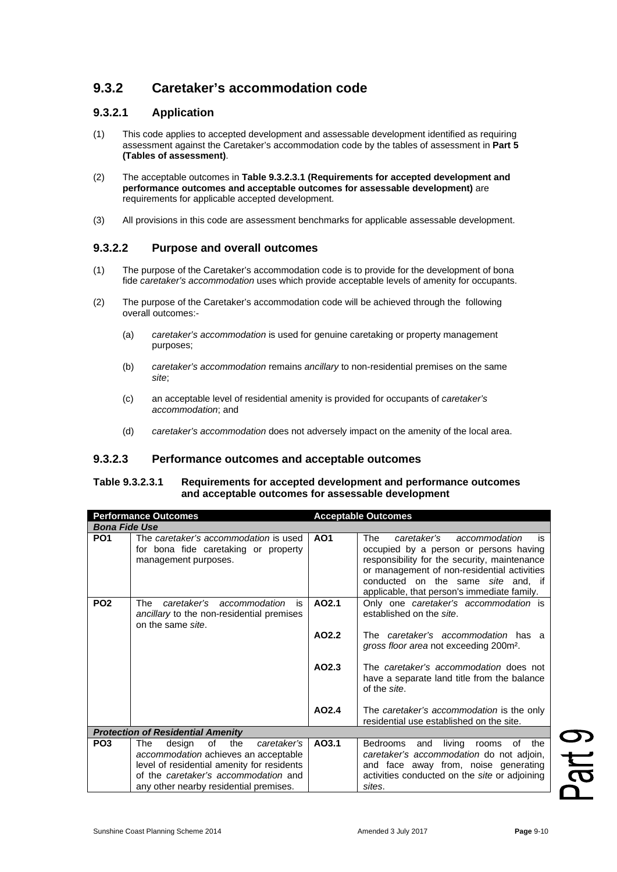# **9.3.2 Caretaker's accommodation code**

### **9.3.2.1 Application**

- (1) This code applies to accepted development and assessable development identified as requiring assessment against the Caretaker's accommodation code by the tables of assessment in **Part 5 (Tables of assessment)**.
- (2) The acceptable outcomes in **Table 9.3.2.3.1 (Requirements for accepted development and performance outcomes and acceptable outcomes for assessable development)** are requirements for applicable accepted development.
- (3) All provisions in this code are assessment benchmarks for applicable assessable development.

## **9.3.2.2 Purpose and overall outcomes**

- (1) The purpose of the Caretaker's accommodation code is to provide for the development of bona fide *caretaker's accommodation* uses which provide acceptable levels of amenity for occupants.
- (2) The purpose of the Caretaker's accommodation code will be achieved through the following overall outcomes:-
	- (a) *caretaker's accommodation* is used for genuine caretaking or property management purposes;
	- (b) *caretaker's accommodation* remains *ancillary* to non-residential premises on the same *site*;
	- (c) an acceptable level of residential amenity is provided for occupants of *caretaker's accommodation*; and
	- (d) *caretaker's accommodation* does not adversely impact on the amenity of the local area.

#### **9.3.2.3 Performance outcomes and acceptable outcomes**

#### **Table 9.3.2.3.1 Requirements for accepted development and performance outcomes and acceptable outcomes for assessable development**

| <b>Performance Outcomes</b>              |                                                                                                                                                                                                                   | <b>Acceptable Outcomes</b> |                                                                                                                                                                                                                                                                         |  |
|------------------------------------------|-------------------------------------------------------------------------------------------------------------------------------------------------------------------------------------------------------------------|----------------------------|-------------------------------------------------------------------------------------------------------------------------------------------------------------------------------------------------------------------------------------------------------------------------|--|
| <b>Bona Fide Use</b>                     |                                                                                                                                                                                                                   |                            |                                                                                                                                                                                                                                                                         |  |
| PO <sub>1</sub>                          | The caretaker's accommodation is used<br>for bona fide caretaking or property<br>management purposes.                                                                                                             | AO <sub>1</sub>            | The<br>caretaker's<br>accommodation<br>is<br>occupied by a person or persons having<br>responsibility for the security, maintenance<br>or management of non-residential activities<br>conducted on the same site and, if<br>applicable, that person's immediate family. |  |
| PO <sub>2</sub>                          | caretaker's<br>The<br>accommodation<br>is<br>ancillary to the non-residential premises<br>on the same site.                                                                                                       | AO2.1                      | Only one caretaker's accommodation is<br>established on the site.                                                                                                                                                                                                       |  |
|                                          |                                                                                                                                                                                                                   | AO2.2                      | The <i>caretaker's accommodation</i> has a<br>gross floor area not exceeding 200m <sup>2</sup> .                                                                                                                                                                        |  |
|                                          |                                                                                                                                                                                                                   | AO2.3                      | The caretaker's accommodation does not<br>have a separate land title from the balance<br>of the site.                                                                                                                                                                   |  |
|                                          |                                                                                                                                                                                                                   | AO2.4                      | The caretaker's accommodation is the only<br>residential use established on the site.                                                                                                                                                                                   |  |
| <b>Protection of Residential Amenity</b> |                                                                                                                                                                                                                   |                            |                                                                                                                                                                                                                                                                         |  |
| PO <sub>3</sub>                          | the<br>οf<br>caretaker's<br>The<br>design<br>accommodation achieves an acceptable<br>level of residential amenity for residents<br>of the caretaker's accommodation and<br>any other nearby residential premises. | AO3.1                      | living<br>Bedrooms<br>and<br>of<br>the<br>rooms<br>caretaker's accommodation do not adjoin,<br>and face away from, noise generating<br>activities conducted on the site or adjoining<br>sites.                                                                          |  |

Part 9